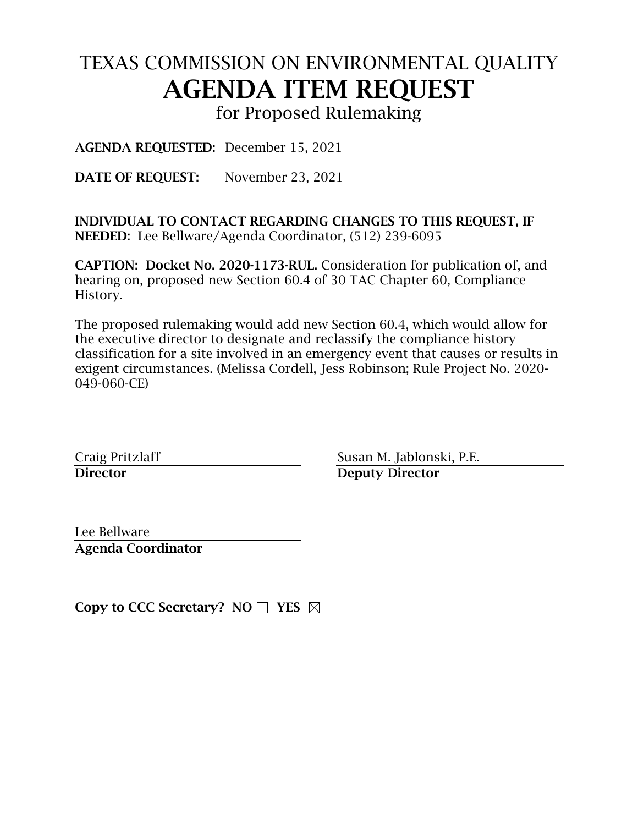# TEXAS COMMISSION ON ENVIRONMENTAL QUALITY AGENDA ITEM REQUEST

for Proposed Rulemaking

AGENDA REQUESTED: December 15, 2021

DATE OF REQUEST: November 23, 2021

INDIVIDUAL TO CONTACT REGARDING CHANGES TO THIS REQUEST, IF NEEDED: Lee Bellware/Agenda Coordinator, (512) 239-6095

CAPTION: Docket No. 2020-1173-RUL. Consideration for publication of, and hearing on, proposed new Section 60.4 of 30 TAC Chapter 60, Compliance History.

The proposed rulemaking would add new Section 60.4, which would allow for the executive director to designate and reclassify the compliance history classification for a site involved in an emergency event that causes or results in exigent circumstances. (Melissa Cordell, Jess Robinson; Rule Project No. 2020- 049-060-CE)

Craig Pritzlaff Susan M. Jablonski, P.E. Director Deputy Director

Lee Bellware Agenda Coordinator

Copy to CCC Secretary?  $NO \Box YES$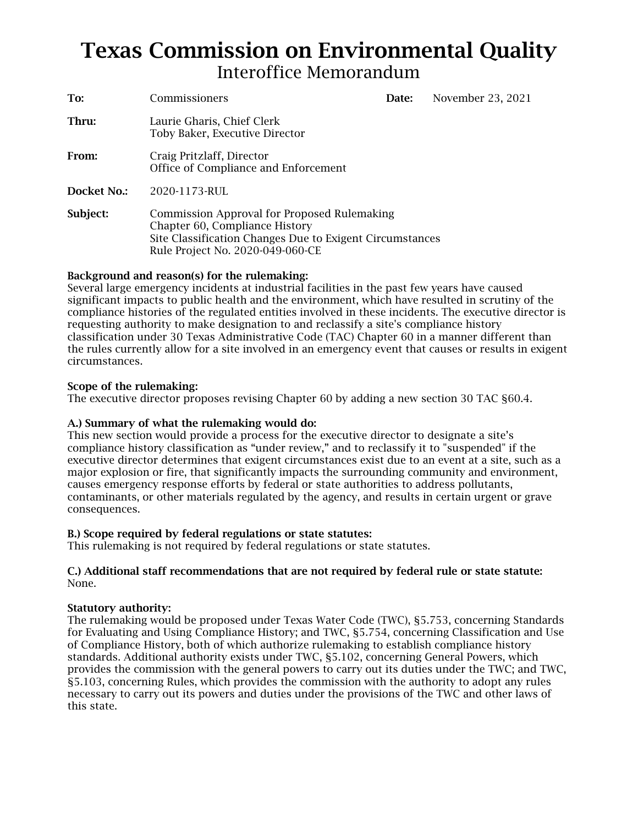## Texas Commission on Environmental Quality Interoffice Memorandum

| To:         | Commissioners                                                                                                                                                                 | Date: | November 23, 2021 |
|-------------|-------------------------------------------------------------------------------------------------------------------------------------------------------------------------------|-------|-------------------|
| Thru:       | Laurie Gharis, Chief Clerk<br>Toby Baker, Executive Director                                                                                                                  |       |                   |
| From:       | Craig Pritzlaff, Director<br>Office of Compliance and Enforcement                                                                                                             |       |                   |
| Docket No.: | 2020-1173-RUL                                                                                                                                                                 |       |                   |
| Subject:    | Commission Approval for Proposed Rulemaking<br>Chapter 60, Compliance History<br>Site Classification Changes Due to Exigent Circumstances<br>Rule Project No. 2020-049-060-CE |       |                   |

#### Background and reason(s) for the rulemaking:

Several large emergency incidents at industrial facilities in the past few years have caused significant impacts to public health and the environment, which have resulted in scrutiny of the compliance histories of the regulated entities involved in these incidents. The executive director is requesting authority to make designation to and reclassify a site's compliance history classification under 30 Texas Administrative Code (TAC) Chapter 60 in a manner different than the rules currently allow for a site involved in an emergency event that causes or results in exigent circumstances.

#### Scope of the rulemaking:

The executive director proposes revising Chapter 60 by adding a new section 30 TAC §60.4.

#### A.) Summary of what the rulemaking would do:

This new section would provide a process for the executive director to designate a site's compliance history classification as "under review," and to reclassify it to "suspended" if the executive director determines that exigent circumstances exist due to an event at a site, such as a major explosion or fire, that significantly impacts the surrounding community and environment, causes emergency response efforts by federal or state authorities to address pollutants, contaminants, or other materials regulated by the agency, and results in certain urgent or grave consequences.

#### B.) Scope required by federal regulations or state statutes:

This rulemaking is not required by federal regulations or state statutes.

#### C.) Additional staff recommendations that are not required by federal rule or state statute: None.

#### Statutory authority:

The rulemaking would be proposed under Texas Water Code (TWC), §5.753, concerning Standards for Evaluating and Using Compliance History; and TWC, §5.754, concerning Classification and Use of Compliance History, both of which authorize rulemaking to establish compliance history standards. Additional authority exists under TWC, §5.102, concerning General Powers, which provides the commission with the general powers to carry out its duties under the TWC; and TWC, §5.103, concerning Rules, which provides the commission with the authority to adopt any rules necessary to carry out its powers and duties under the provisions of the TWC and other laws of this state.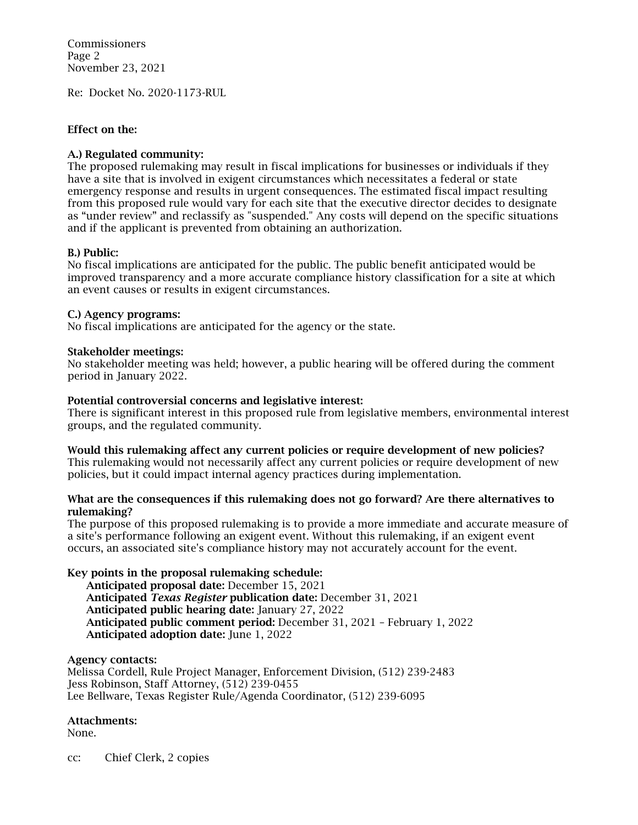Commissioners Page 2 November 23, 2021

Re: Docket No. 2020-1173-RUL

#### Effect on the:

#### A.) Regulated community:

The proposed rulemaking may result in fiscal implications for businesses or individuals if they have a site that is involved in exigent circumstances which necessitates a federal or state emergency response and results in urgent consequences. The estimated fiscal impact resulting from this proposed rule would vary for each site that the executive director decides to designate as "under review" and reclassify as "suspended." Any costs will depend on the specific situations and if the applicant is prevented from obtaining an authorization.

#### B.) Public:

No fiscal implications are anticipated for the public. The public benefit anticipated would be improved transparency and a more accurate compliance history classification for a site at which an event causes or results in exigent circumstances.

#### C.) Agency programs:

No fiscal implications are anticipated for the agency or the state.

#### Stakeholder meetings:

No stakeholder meeting was held; however, a public hearing will be offered during the comment period in January 2022.

#### Potential controversial concerns and legislative interest:

There is significant interest in this proposed rule from legislative members, environmental interest groups, and the regulated community.

#### Would this rulemaking affect any current policies or require development of new policies?

This rulemaking would not necessarily affect any current policies or require development of new policies, but it could impact internal agency practices during implementation.

#### What are the consequences if this rulemaking does not go forward? Are there alternatives to rulemaking?

The purpose of this proposed rulemaking is to provide a more immediate and accurate measure of a site's performance following an exigent event. Without this rulemaking, if an exigent event occurs, an associated site's compliance history may not accurately account for the event.

#### Key points in the proposal rulemaking schedule:

Anticipated proposal date: December 15, 2021 Anticipated *Texas Register* publication date: December 31, 2021 Anticipated public hearing date: January 27, 2022 Anticipated public comment period: December 31, 2021 – February 1, 2022 Anticipated adoption date: June 1, 2022

#### Agency contacts:

Melissa Cordell, Rule Project Manager, Enforcement Division, (512) 239-2483 Jess Robinson, Staff Attorney, (512) 239-0455 Lee Bellware, Texas Register Rule/Agenda Coordinator, (512) 239-6095

#### Attachments:

None.

cc: Chief Clerk, 2 copies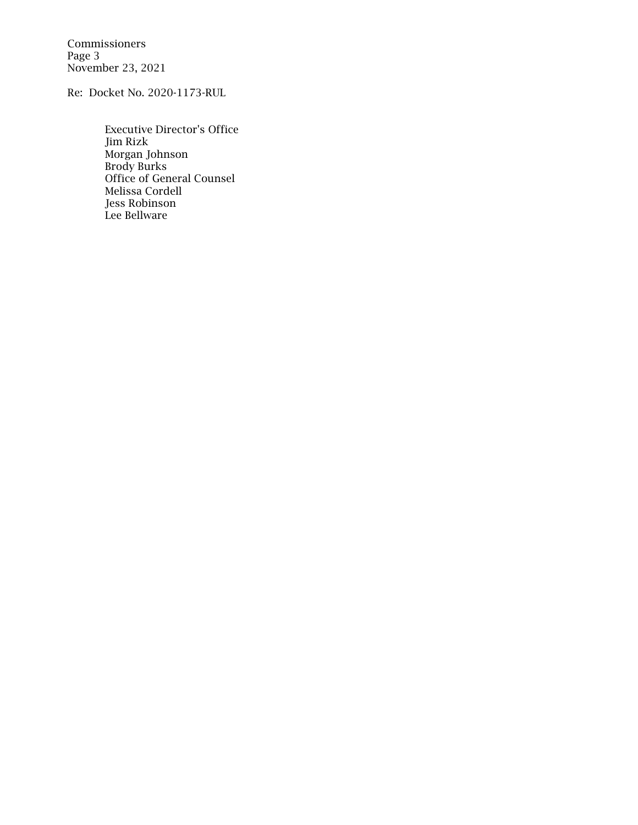Commissioners Page 3 November 23, 2021

Re: Docket No. 2020-1173-RUL

Executive Director's Office Jim Rizk Morgan Johnson Brody Burks Office of General Counsel Melissa Cordell Jess Robinson Lee Bellware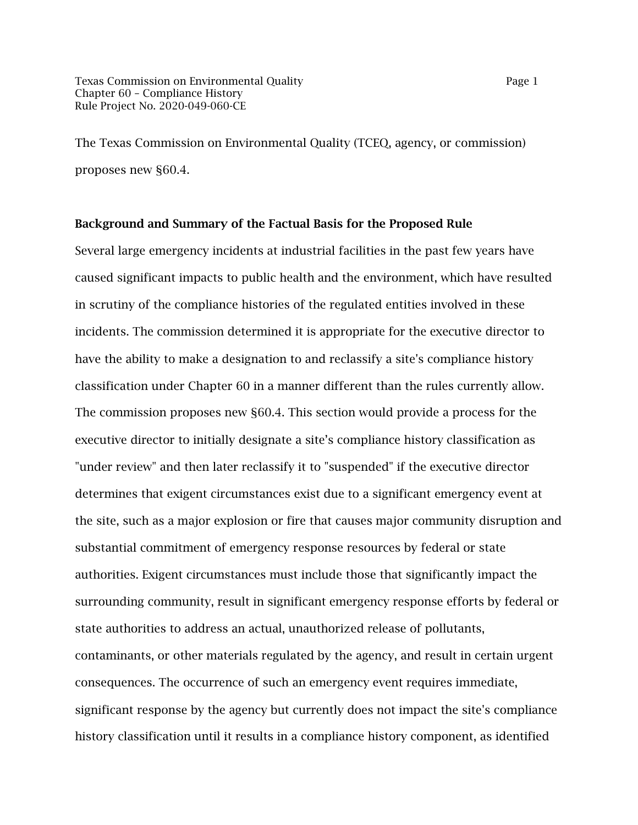The Texas Commission on Environmental Quality (TCEQ, agency, or commission) proposes new §60.4.

#### Background and Summary of the Factual Basis for the Proposed Rule

Several large emergency incidents at industrial facilities in the past few years have caused significant impacts to public health and the environment, which have resulted in scrutiny of the compliance histories of the regulated entities involved in these incidents. The commission determined it is appropriate for the executive director to have the ability to make a designation to and reclassify a site's compliance history classification under Chapter 60 in a manner different than the rules currently allow. The commission proposes new §60.4. This section would provide a process for the executive director to initially designate a site's compliance history classification as "under review" and then later reclassify it to "suspended" if the executive director determines that exigent circumstances exist due to a significant emergency event at the site, such as a major explosion or fire that causes major community disruption and substantial commitment of emergency response resources by federal or state authorities. Exigent circumstances must include those that significantly impact the surrounding community, result in significant emergency response efforts by federal or state authorities to address an actual, unauthorized release of pollutants, contaminants, or other materials regulated by the agency, and result in certain urgent consequences. The occurrence of such an emergency event requires immediate, significant response by the agency but currently does not impact the site's compliance history classification until it results in a compliance history component, as identified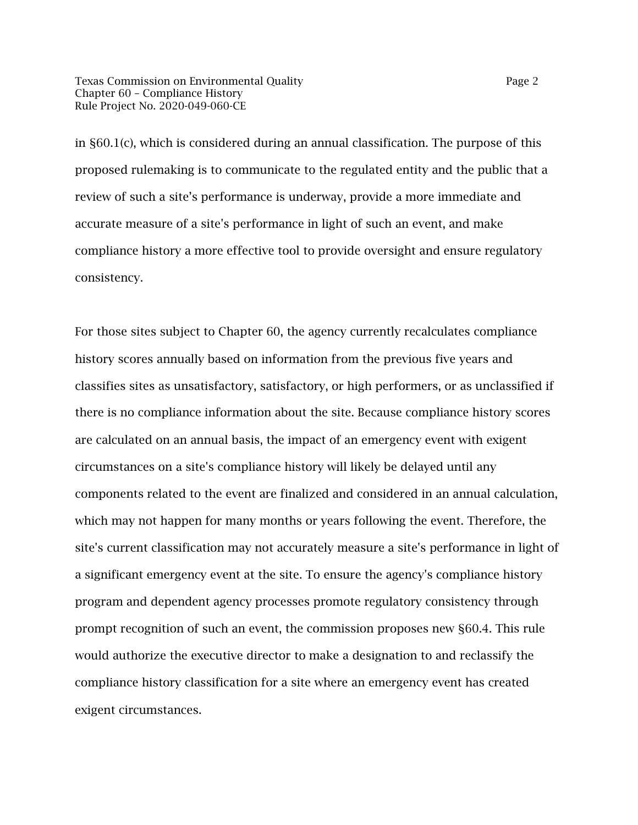Texas Commission on Environmental Quality **Page 2** Page 2 Chapter 60 – Compliance History Rule Project No. 2020-049-060-CE

in §60.1(c), which is considered during an annual classification. The purpose of this proposed rulemaking is to communicate to the regulated entity and the public that a review of such a site's performance is underway, provide a more immediate and accurate measure of a site's performance in light of such an event, and make compliance history a more effective tool to provide oversight and ensure regulatory consistency.

For those sites subject to Chapter 60, the agency currently recalculates compliance history scores annually based on information from the previous five years and classifies sites as unsatisfactory, satisfactory, or high performers, or as unclassified if there is no compliance information about the site. Because compliance history scores are calculated on an annual basis, the impact of an emergency event with exigent circumstances on a site's compliance history will likely be delayed until any components related to the event are finalized and considered in an annual calculation, which may not happen for many months or years following the event. Therefore, the site's current classification may not accurately measure a site's performance in light of a significant emergency event at the site. To ensure the agency's compliance history program and dependent agency processes promote regulatory consistency through prompt recognition of such an event, the commission proposes new §60.4. This rule would authorize the executive director to make a designation to and reclassify the compliance history classification for a site where an emergency event has created exigent circumstances.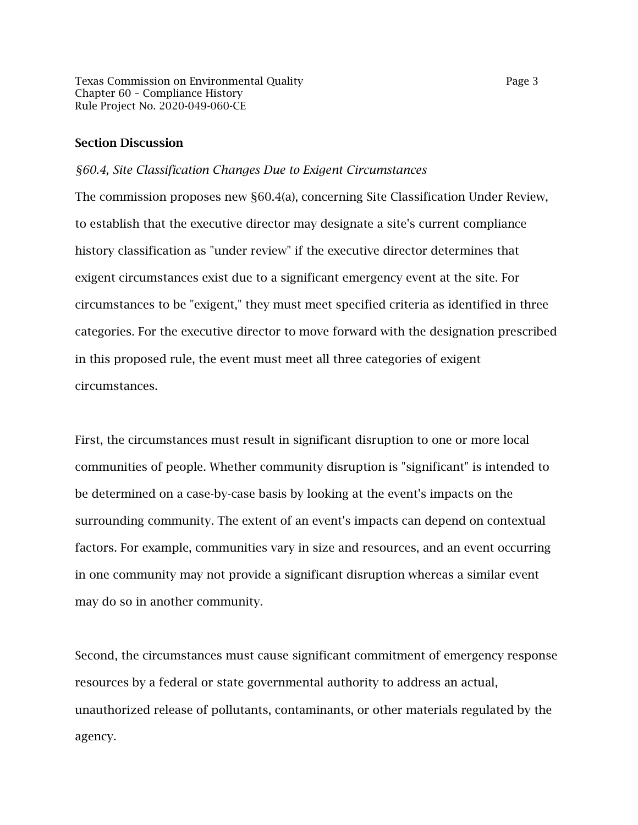Texas Commission on Environmental Quality **Page 3** Page 3 Chapter 60 – Compliance History Rule Project No. 2020-049-060-CE

#### Section Discussion

#### *§60.4, Site Classification Changes Due to Exigent Circumstances*

The commission proposes new §60.4(a), concerning Site Classification Under Review, to establish that the executive director may designate a site's current compliance history classification as "under review" if the executive director determines that exigent circumstances exist due to a significant emergency event at the site. For circumstances to be "exigent," they must meet specified criteria as identified in three categories. For the executive director to move forward with the designation prescribed in this proposed rule, the event must meet all three categories of exigent circumstances.

First, the circumstances must result in significant disruption to one or more local communities of people. Whether community disruption is "significant" is intended to be determined on a case-by-case basis by looking at the event's impacts on the surrounding community. The extent of an event's impacts can depend on contextual factors. For example, communities vary in size and resources, and an event occurring in one community may not provide a significant disruption whereas a similar event may do so in another community.

Second, the circumstances must cause significant commitment of emergency response resources by a federal or state governmental authority to address an actual, unauthorized release of pollutants, contaminants, or other materials regulated by the agency.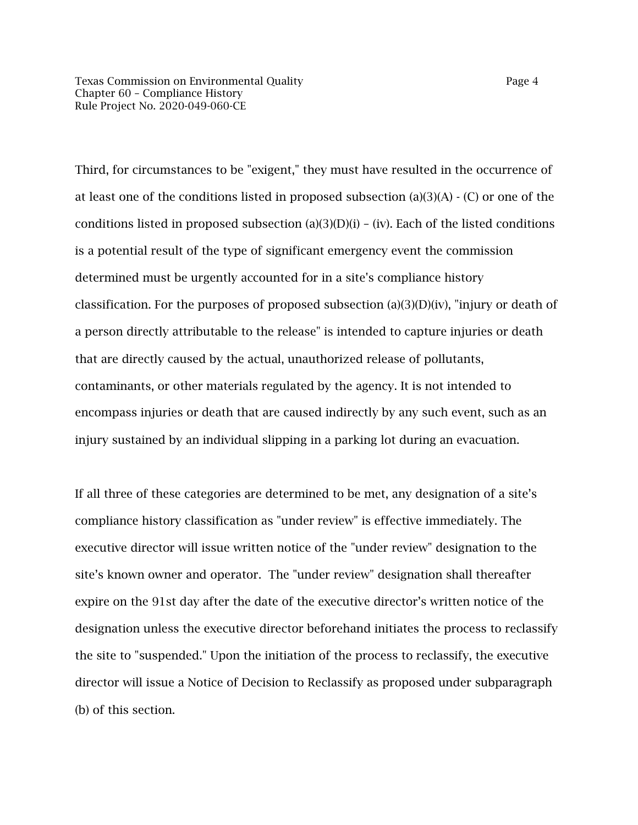Third, for circumstances to be "exigent," they must have resulted in the occurrence of at least one of the conditions listed in proposed subsection (a)(3)(A)  $\cdot$  (C) or one of the conditions listed in proposed subsection (a)(3)(D)(i) – (iv). Each of the listed conditions is a potential result of the type of significant emergency event the commission determined must be urgently accounted for in a site's compliance history classification. For the purposes of proposed subsection (a)(3)(D)(iv), "injury or death of a person directly attributable to the release" is intended to capture injuries or death that are directly caused by the actual, unauthorized release of pollutants, contaminants, or other materials regulated by the agency. It is not intended to encompass injuries or death that are caused indirectly by any such event, such as an injury sustained by an individual slipping in a parking lot during an evacuation.

If all three of these categories are determined to be met, any designation of a site's compliance history classification as "under review" is effective immediately. The executive director will issue written notice of the "under review" designation to the site's known owner and operator. The "under review" designation shall thereafter expire on the 91st day after the date of the executive director's written notice of the designation unless the executive director beforehand initiates the process to reclassify the site to "suspended." Upon the initiation of the process to reclassify, the executive director will issue a Notice of Decision to Reclassify as proposed under subparagraph (b) of this section.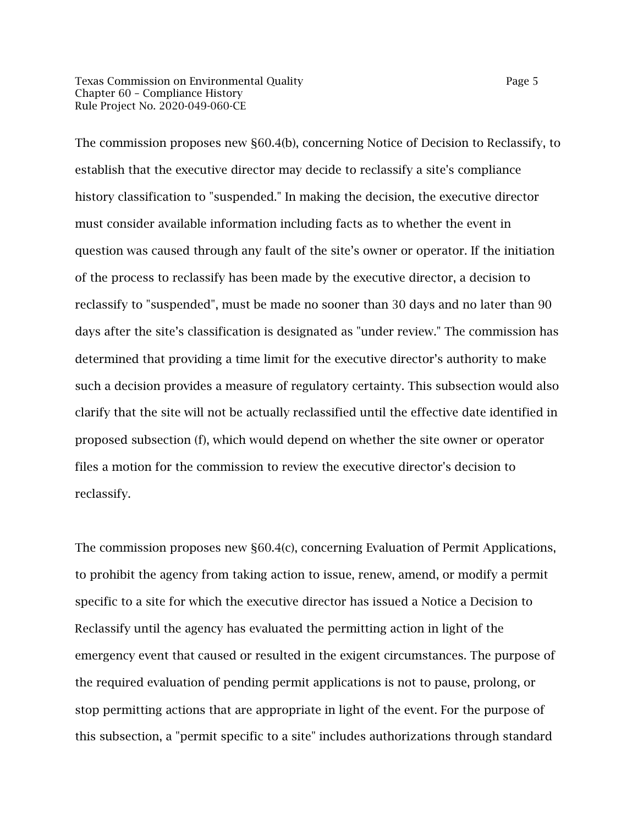Texas Commission on Environmental Quality **Page 5** Page 5 Chapter 60 – Compliance History Rule Project No. 2020-049-060-CE

The commission proposes new §60.4(b), concerning Notice of Decision to Reclassify, to establish that the executive director may decide to reclassify a site's compliance history classification to "suspended." In making the decision, the executive director must consider available information including facts as to whether the event in question was caused through any fault of the site's owner or operator. If the initiation of the process to reclassify has been made by the executive director, a decision to reclassify to "suspended", must be made no sooner than 30 days and no later than 90 days after the site's classification is designated as "under review." The commission has determined that providing a time limit for the executive director's authority to make such a decision provides a measure of regulatory certainty. This subsection would also clarify that the site will not be actually reclassified until the effective date identified in proposed subsection (f), which would depend on whether the site owner or operator files a motion for the commission to review the executive director's decision to reclassify.

The commission proposes new §60.4(c), concerning Evaluation of Permit Applications, to prohibit the agency from taking action to issue, renew, amend, or modify a permit specific to a site for which the executive director has issued a Notice a Decision to Reclassify until the agency has evaluated the permitting action in light of the emergency event that caused or resulted in the exigent circumstances. The purpose of the required evaluation of pending permit applications is not to pause, prolong, or stop permitting actions that are appropriate in light of the event. For the purpose of this subsection, a "permit specific to a site" includes authorizations through standard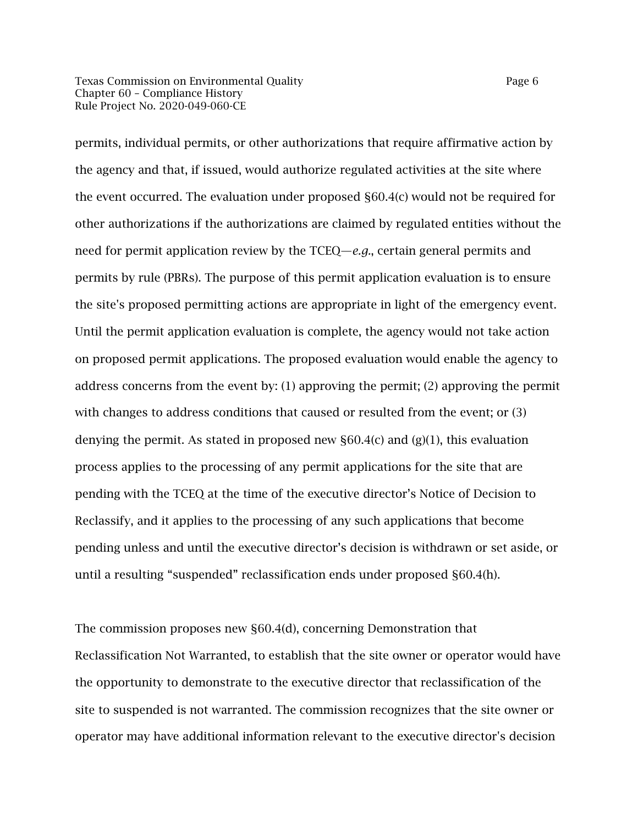Texas Commission on Environmental Quality **Page 6** and Page 6 Chapter 60 – Compliance History Rule Project No. 2020-049-060-CE

permits, individual permits, or other authorizations that require affirmative action by the agency and that, if issued, would authorize regulated activities at the site where the event occurred. The evaluation under proposed §60.4(c) would not be required for other authorizations if the authorizations are claimed by regulated entities without the need for permit application review by the TCEQ—*e.g.*, certain general permits and permits by rule (PBRs). The purpose of this permit application evaluation is to ensure the site's proposed permitting actions are appropriate in light of the emergency event. Until the permit application evaluation is complete, the agency would not take action on proposed permit applications. The proposed evaluation would enable the agency to address concerns from the event by: (1) approving the permit; (2) approving the permit with changes to address conditions that caused or resulted from the event; or (3) denying the permit. As stated in proposed new  $\S 60.4(c)$  and (g)(1), this evaluation process applies to the processing of any permit applications for the site that are pending with the TCEQ at the time of the executive director's Notice of Decision to Reclassify, and it applies to the processing of any such applications that become pending unless and until the executive director's decision is withdrawn or set aside, or until a resulting "suspended" reclassification ends under proposed §60.4(h).

The commission proposes new §60.4(d), concerning Demonstration that Reclassification Not Warranted, to establish that the site owner or operator would have the opportunity to demonstrate to the executive director that reclassification of the site to suspended is not warranted. The commission recognizes that the site owner or operator may have additional information relevant to the executive director's decision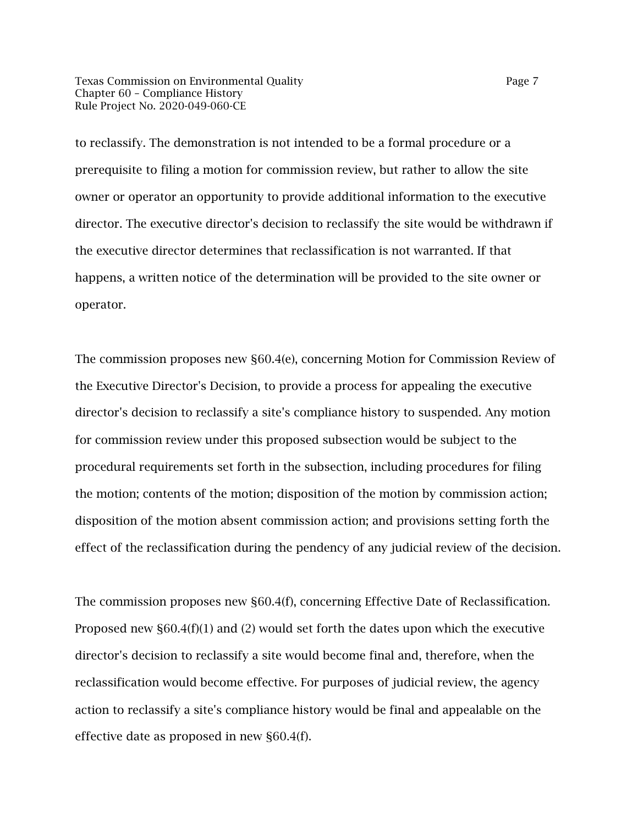Texas Commission on Environmental Quality **Page 7** Page 7 Chapter 60 – Compliance History Rule Project No. 2020-049-060-CE

to reclassify. The demonstration is not intended to be a formal procedure or a prerequisite to filing a motion for commission review, but rather to allow the site owner or operator an opportunity to provide additional information to the executive director. The executive director's decision to reclassify the site would be withdrawn if the executive director determines that reclassification is not warranted. If that happens, a written notice of the determination will be provided to the site owner or operator.

The commission proposes new §60.4(e), concerning Motion for Commission Review of the Executive Director's Decision, to provide a process for appealing the executive director's decision to reclassify a site's compliance history to suspended. Any motion for commission review under this proposed subsection would be subject to the procedural requirements set forth in the subsection, including procedures for filing the motion; contents of the motion; disposition of the motion by commission action; disposition of the motion absent commission action; and provisions setting forth the effect of the reclassification during the pendency of any judicial review of the decision.

The commission proposes new §60.4(f), concerning Effective Date of Reclassification. Proposed new  $\S 60.4(f)(1)$  and (2) would set forth the dates upon which the executive director's decision to reclassify a site would become final and, therefore, when the reclassification would become effective. For purposes of judicial review, the agency action to reclassify a site's compliance history would be final and appealable on the effective date as proposed in new §60.4(f).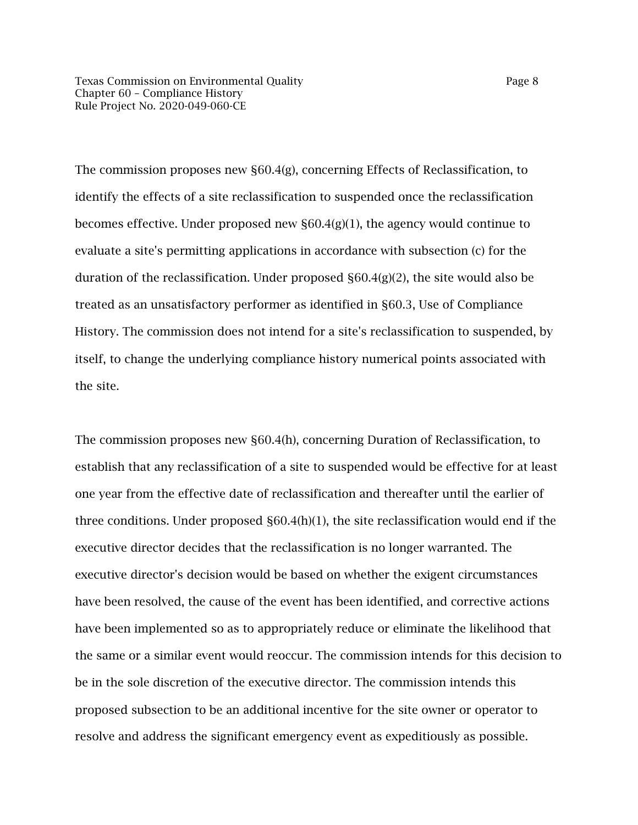The commission proposes new §60.4(g), concerning Effects of Reclassification, to identify the effects of a site reclassification to suspended once the reclassification becomes effective. Under proposed new §60.4(g)(1), the agency would continue to evaluate a site's permitting applications in accordance with subsection (c) for the duration of the reclassification. Under proposed  $\S 60.4(g)(2)$ , the site would also be treated as an unsatisfactory performer as identified in §60.3, Use of Compliance History. The commission does not intend for a site's reclassification to suspended, by itself, to change the underlying compliance history numerical points associated with the site.

The commission proposes new §60.4(h), concerning Duration of Reclassification, to establish that any reclassification of a site to suspended would be effective for at least one year from the effective date of reclassification and thereafter until the earlier of three conditions. Under proposed §60.4(h)(1), the site reclassification would end if the executive director decides that the reclassification is no longer warranted. The executive director's decision would be based on whether the exigent circumstances have been resolved, the cause of the event has been identified, and corrective actions have been implemented so as to appropriately reduce or eliminate the likelihood that the same or a similar event would reoccur. The commission intends for this decision to be in the sole discretion of the executive director. The commission intends this proposed subsection to be an additional incentive for the site owner or operator to resolve and address the significant emergency event as expeditiously as possible.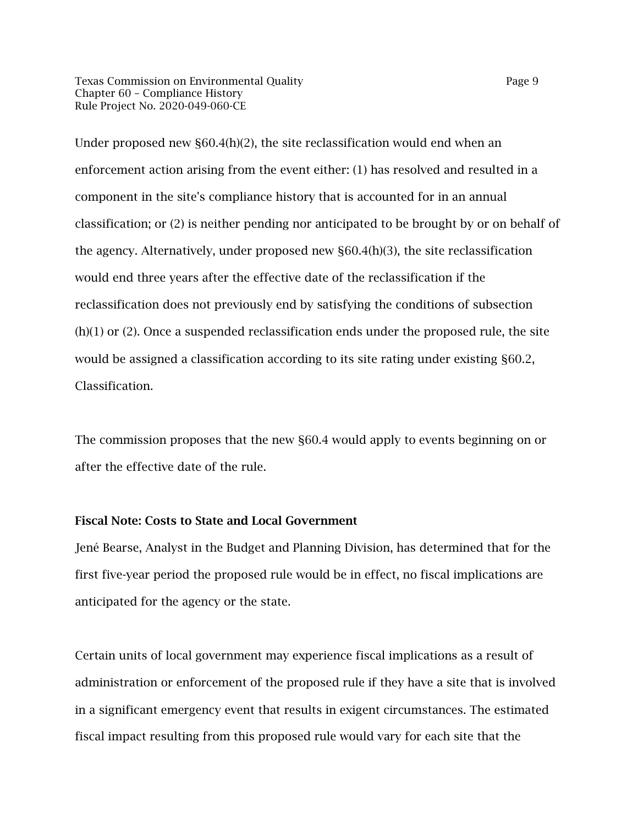Texas Commission on Environmental Quality **Page 9** Page 9 Chapter 60 – Compliance History Rule Project No. 2020-049-060-CE

Under proposed new  $\S 60.4(h)(2)$ , the site reclassification would end when an enforcement action arising from the event either: (1) has resolved and resulted in a component in the site's compliance history that is accounted for in an annual classification; or (2) is neither pending nor anticipated to be brought by or on behalf of the agency. Alternatively, under proposed new §60.4(h)(3), the site reclassification would end three years after the effective date of the reclassification if the reclassification does not previously end by satisfying the conditions of subsection (h)(1) or (2). Once a suspended reclassification ends under the proposed rule, the site would be assigned a classification according to its site rating under existing §60.2, Classification.

The commission proposes that the new §60.4 would apply to events beginning on or after the effective date of the rule.

#### Fiscal Note: Costs to State and Local Government

Jené Bearse, Analyst in the Budget and Planning Division, has determined that for the first five-year period the proposed rule would be in effect, no fiscal implications are anticipated for the agency or the state.

Certain units of local government may experience fiscal implications as a result of administration or enforcement of the proposed rule if they have a site that is involved in a significant emergency event that results in exigent circumstances. The estimated fiscal impact resulting from this proposed rule would vary for each site that the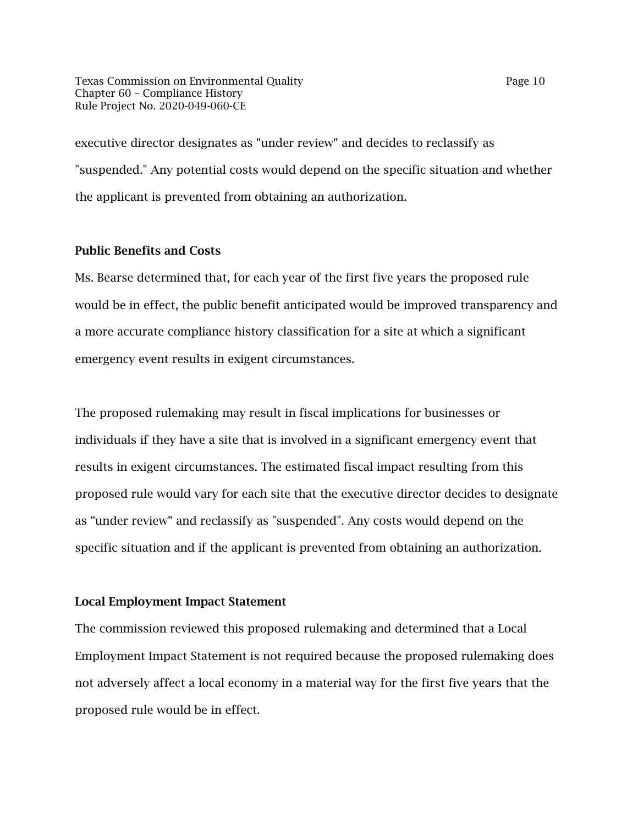Texas Commission on Environmental Quality Page 10 Chapter 60 – Compliance History Rule Project No. 2020-049-060-CE

executive director designates as "under review" and decides to reclassify as "suspended." Any potential costs would depend on the specific situation and whether the applicant is prevented from obtaining an authorization.

#### Public Benefits and Costs

Ms. Bearse determined that, for each year of the first five years the proposed rule would be in effect, the public benefit anticipated would be improved transparency and a more accurate compliance history classification for a site at which a significant emergency event results in exigent circumstances.

The proposed rulemaking may result in fiscal implications for businesses or individuals if they have a site that is involved in a significant emergency event that results in exigent circumstances. The estimated fiscal impact resulting from this proposed rule would vary for each site that the executive director decides to designate as "under review" and reclassify as "suspended". Any costs would depend on the specific situation and if the applicant is prevented from obtaining an authorization.

#### Local Employment Impact Statement

The commission reviewed this proposed rulemaking and determined that a Local Employment Impact Statement is not required because the proposed rulemaking does not adversely affect a local economy in a material way for the first five years that the proposed rule would be in effect.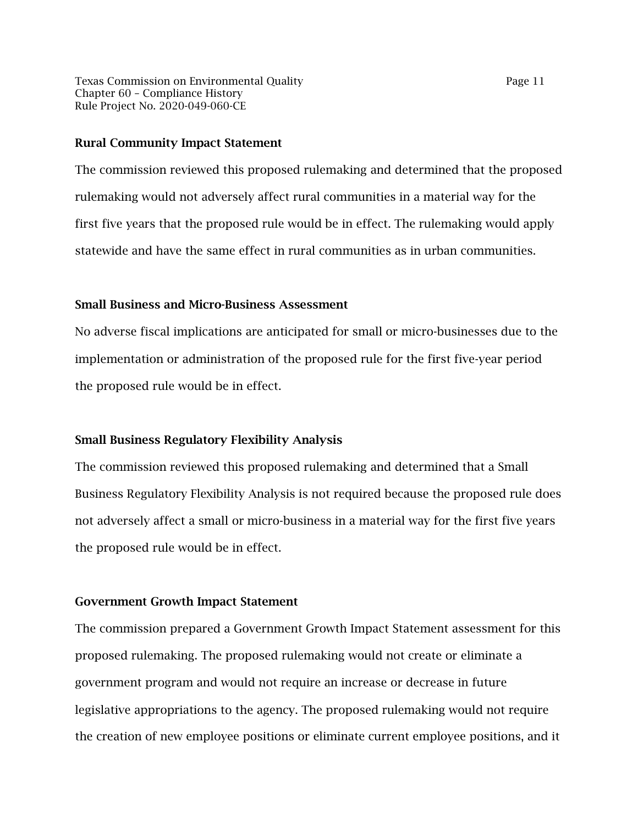Texas Commission on Environmental Quality Page 11 Chapter 60 – Compliance History Rule Project No. 2020-049-060-CE

#### Rural Community Impact Statement

The commission reviewed this proposed rulemaking and determined that the proposed rulemaking would not adversely affect rural communities in a material way for the first five years that the proposed rule would be in effect. The rulemaking would apply statewide and have the same effect in rural communities as in urban communities.

#### Small Business and Micro-Business Assessment

No adverse fiscal implications are anticipated for small or micro-businesses due to the implementation or administration of the proposed rule for the first five-year period the proposed rule would be in effect.

#### Small Business Regulatory Flexibility Analysis

The commission reviewed this proposed rulemaking and determined that a Small Business Regulatory Flexibility Analysis is not required because the proposed rule does not adversely affect a small or micro-business in a material way for the first five years the proposed rule would be in effect.

#### Government Growth Impact Statement

The commission prepared a Government Growth Impact Statement assessment for this proposed rulemaking. The proposed rulemaking would not create or eliminate a government program and would not require an increase or decrease in future legislative appropriations to the agency. The proposed rulemaking would not require the creation of new employee positions or eliminate current employee positions, and it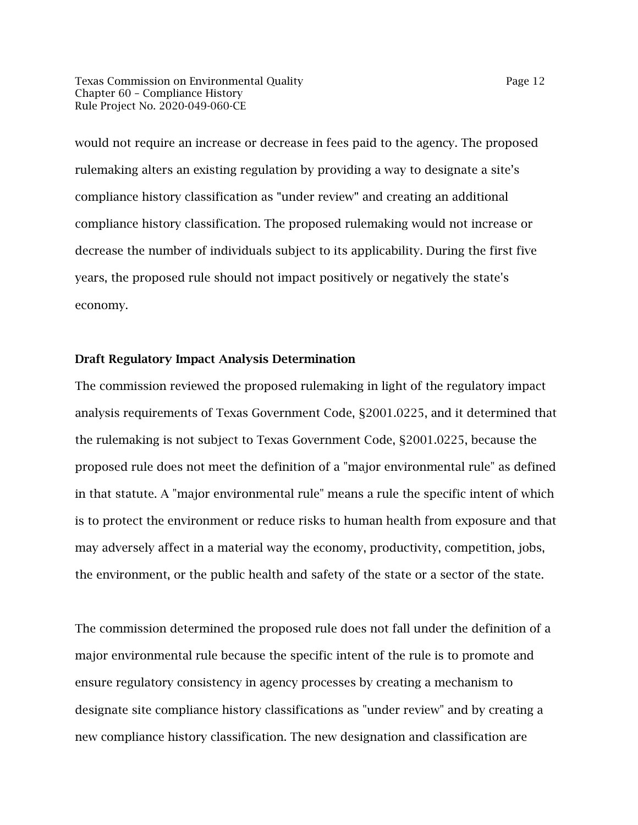Texas Commission on Environmental Quality Page 12 Chapter 60 – Compliance History Rule Project No. 2020-049-060-CE

would not require an increase or decrease in fees paid to the agency. The proposed rulemaking alters an existing regulation by providing a way to designate a site's compliance history classification as "under review" and creating an additional compliance history classification. The proposed rulemaking would not increase or decrease the number of individuals subject to its applicability. During the first five years, the proposed rule should not impact positively or negatively the state's economy.

#### Draft Regulatory Impact Analysis Determination

The commission reviewed the proposed rulemaking in light of the regulatory impact analysis requirements of Texas Government Code, §2001.0225, and it determined that the rulemaking is not subject to Texas Government Code, §2001.0225, because the proposed rule does not meet the definition of a "major environmental rule" as defined in that statute. A "major environmental rule" means a rule the specific intent of which is to protect the environment or reduce risks to human health from exposure and that may adversely affect in a material way the economy, productivity, competition, jobs, the environment, or the public health and safety of the state or a sector of the state.

The commission determined the proposed rule does not fall under the definition of a major environmental rule because the specific intent of the rule is to promote and ensure regulatory consistency in agency processes by creating a mechanism to designate site compliance history classifications as "under review" and by creating a new compliance history classification. The new designation and classification are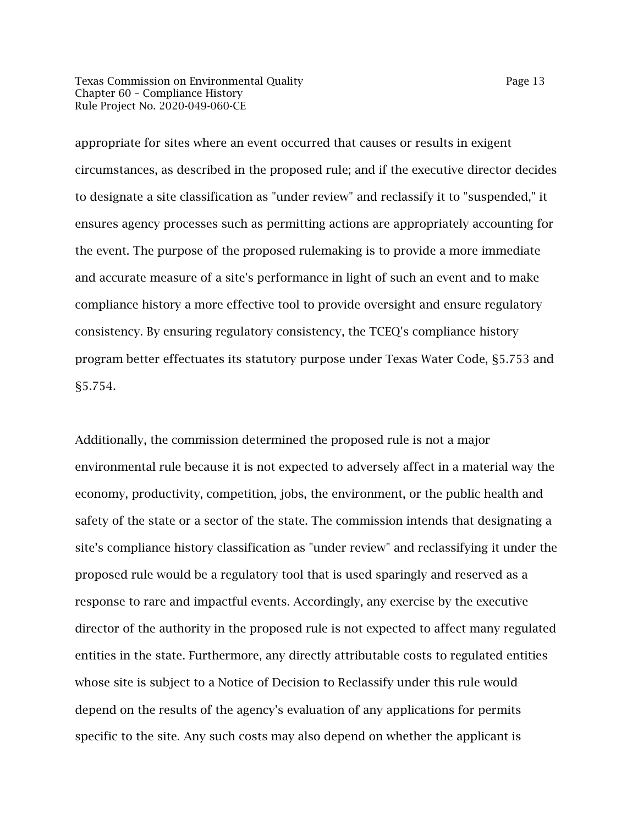Texas Commission on Environmental Quality Page 13 Chapter 60 – Compliance History Rule Project No. 2020-049-060-CE

appropriate for sites where an event occurred that causes or results in exigent circumstances, as described in the proposed rule; and if the executive director decides to designate a site classification as "under review" and reclassify it to "suspended," it ensures agency processes such as permitting actions are appropriately accounting for the event. The purpose of the proposed rulemaking is to provide a more immediate and accurate measure of a site's performance in light of such an event and to make compliance history a more effective tool to provide oversight and ensure regulatory consistency. By ensuring regulatory consistency, the TCEQ's compliance history program better effectuates its statutory purpose under Texas Water Code, §5.753 and §5.754.

Additionally, the commission determined the proposed rule is not a major environmental rule because it is not expected to adversely affect in a material way the economy, productivity, competition, jobs, the environment, or the public health and safety of the state or a sector of the state. The commission intends that designating a site's compliance history classification as "under review" and reclassifying it under the proposed rule would be a regulatory tool that is used sparingly and reserved as a response to rare and impactful events. Accordingly, any exercise by the executive director of the authority in the proposed rule is not expected to affect many regulated entities in the state. Furthermore, any directly attributable costs to regulated entities whose site is subject to a Notice of Decision to Reclassify under this rule would depend on the results of the agency's evaluation of any applications for permits specific to the site. Any such costs may also depend on whether the applicant is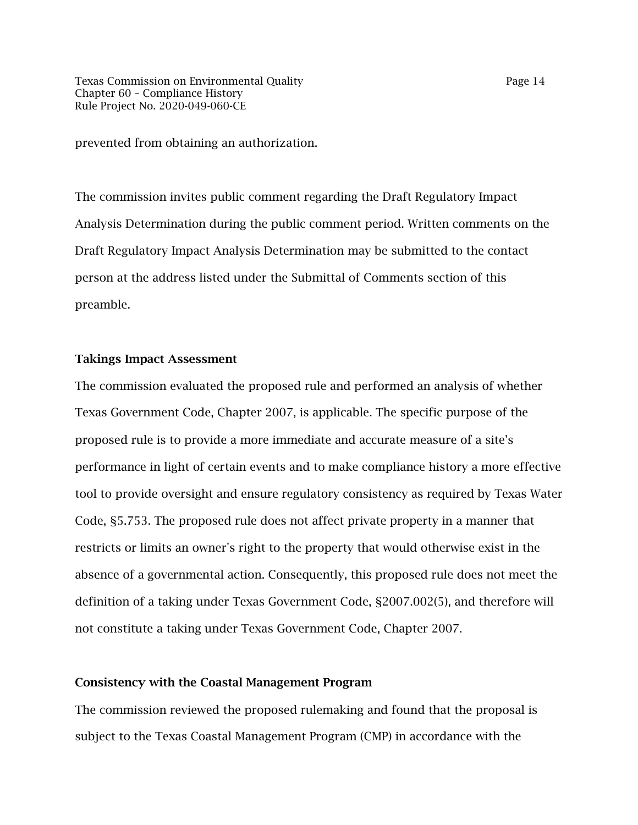prevented from obtaining an authorization.

The commission invites public comment regarding the Draft Regulatory Impact Analysis Determination during the public comment period. Written comments on the Draft Regulatory Impact Analysis Determination may be submitted to the contact person at the address listed under the Submittal of Comments section of this preamble.

#### Takings Impact Assessment

The commission evaluated the proposed rule and performed an analysis of whether Texas Government Code, Chapter 2007, is applicable. The specific purpose of the proposed rule is to provide a more immediate and accurate measure of a site's performance in light of certain events and to make compliance history a more effective tool to provide oversight and ensure regulatory consistency as required by Texas Water Code, §5.753. The proposed rule does not affect private property in a manner that restricts or limits an owner's right to the property that would otherwise exist in the absence of a governmental action. Consequently, this proposed rule does not meet the definition of a taking under Texas Government Code, §2007.002(5), and therefore will not constitute a taking under Texas Government Code, Chapter 2007.

#### Consistency with the Coastal Management Program

The commission reviewed the proposed rulemaking and found that the proposal is subject to the Texas Coastal Management Program (CMP) in accordance with the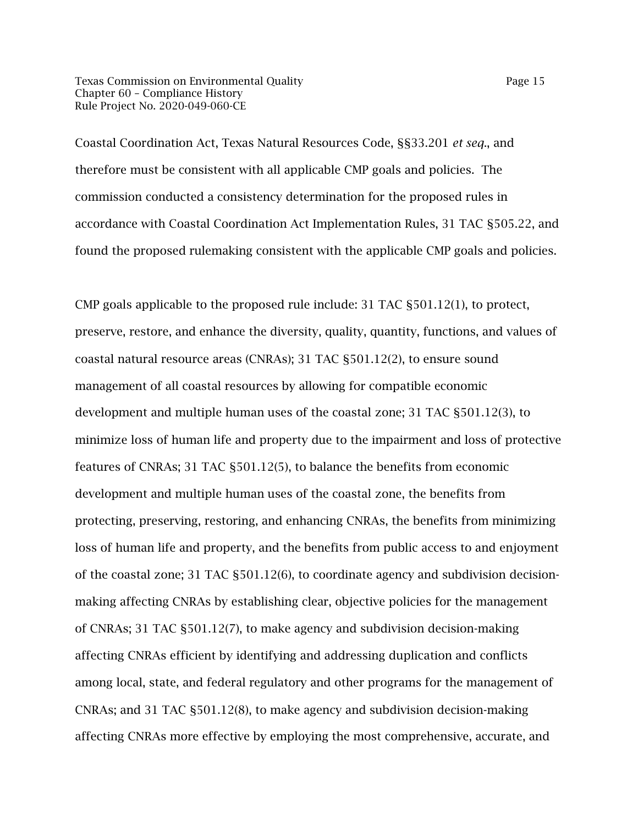Texas Commission on Environmental Quality Page 15 Chapter 60 – Compliance History Rule Project No. 2020-049-060-CE

Coastal Coordination Act, Texas Natural Resources Code, §§33.201 *et seq*., and therefore must be consistent with all applicable CMP goals and policies. The commission conducted a consistency determination for the proposed rules in accordance with Coastal Coordination Act Implementation Rules, 31 TAC §505.22, and found the proposed rulemaking consistent with the applicable CMP goals and policies.

CMP goals applicable to the proposed rule include: 31 TAC §501.12(1), to protect, preserve, restore, and enhance the diversity, quality, quantity, functions, and values of coastal natural resource areas (CNRAs); 31 TAC §501.12(2), to ensure sound management of all coastal resources by allowing for compatible economic development and multiple human uses of the coastal zone; 31 TAC §501.12(3), to minimize loss of human life and property due to the impairment and loss of protective features of CNRAs; 31 TAC §501.12(5), to balance the benefits from economic development and multiple human uses of the coastal zone, the benefits from protecting, preserving, restoring, and enhancing CNRAs, the benefits from minimizing loss of human life and property, and the benefits from public access to and enjoyment of the coastal zone; 31 TAC §501.12(6), to coordinate agency and subdivision decisionmaking affecting CNRAs by establishing clear, objective policies for the management of CNRAs; 31 TAC §501.12(7), to make agency and subdivision decision-making affecting CNRAs efficient by identifying and addressing duplication and conflicts among local, state, and federal regulatory and other programs for the management of CNRAs; and 31 TAC §501.12(8), to make agency and subdivision decision-making affecting CNRAs more effective by employing the most comprehensive, accurate, and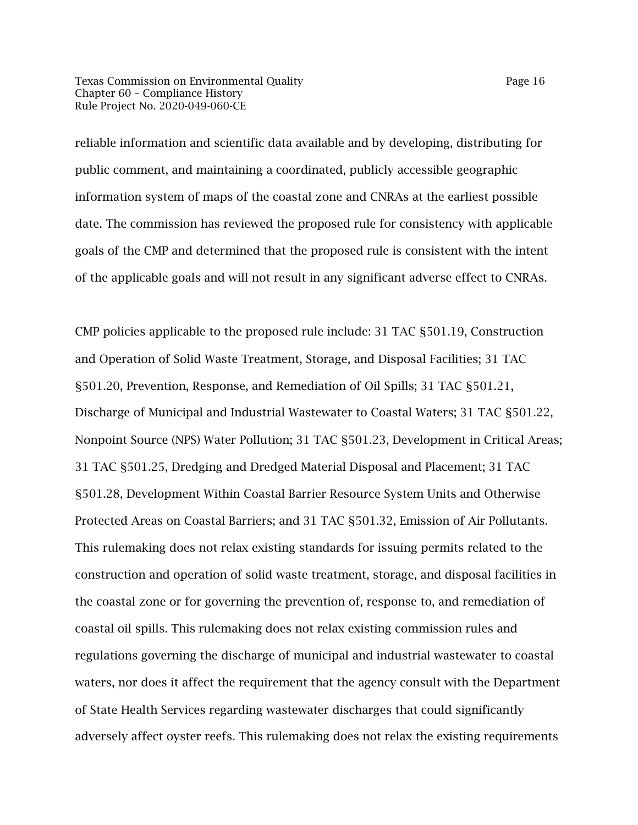Texas Commission on Environmental Quality Page 16 Chapter 60 – Compliance History Rule Project No. 2020-049-060-CE

reliable information and scientific data available and by developing, distributing for public comment, and maintaining a coordinated, publicly accessible geographic information system of maps of the coastal zone and CNRAs at the earliest possible date. The commission has reviewed the proposed rule for consistency with applicable goals of the CMP and determined that the proposed rule is consistent with the intent of the applicable goals and will not result in any significant adverse effect to CNRAs.

CMP policies applicable to the proposed rule include: 31 TAC §501.19, Construction and Operation of Solid Waste Treatment, Storage, and Disposal Facilities; 31 TAC §501.20, Prevention, Response, and Remediation of Oil Spills; 31 TAC §501.21, Discharge of Municipal and Industrial Wastewater to Coastal Waters; 31 TAC §501.22, Nonpoint Source (NPS) Water Pollution; 31 TAC §501.23, Development in Critical Areas; 31 TAC §501.25, Dredging and Dredged Material Disposal and Placement; 31 TAC §501.28, Development Within Coastal Barrier Resource System Units and Otherwise Protected Areas on Coastal Barriers; and 31 TAC §501.32, Emission of Air Pollutants. This rulemaking does not relax existing standards for issuing permits related to the construction and operation of solid waste treatment, storage, and disposal facilities in the coastal zone or for governing the prevention of, response to, and remediation of coastal oil spills. This rulemaking does not relax existing commission rules and regulations governing the discharge of municipal and industrial wastewater to coastal waters, nor does it affect the requirement that the agency consult with the Department of State Health Services regarding wastewater discharges that could significantly adversely affect oyster reefs. This rulemaking does not relax the existing requirements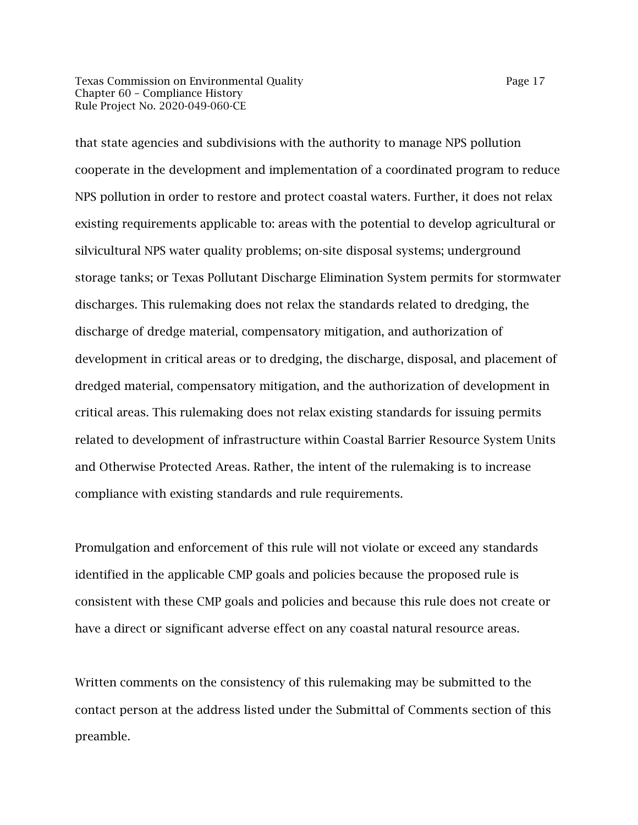Texas Commission on Environmental Quality Page 17 Chapter 60 – Compliance History Rule Project No. 2020-049-060-CE

that state agencies and subdivisions with the authority to manage NPS pollution cooperate in the development and implementation of a coordinated program to reduce NPS pollution in order to restore and protect coastal waters. Further, it does not relax existing requirements applicable to: areas with the potential to develop agricultural or silvicultural NPS water quality problems; on-site disposal systems; underground storage tanks; or Texas Pollutant Discharge Elimination System permits for stormwater discharges. This rulemaking does not relax the standards related to dredging, the discharge of dredge material, compensatory mitigation, and authorization of development in critical areas or to dredging, the discharge, disposal, and placement of dredged material, compensatory mitigation, and the authorization of development in critical areas. This rulemaking does not relax existing standards for issuing permits related to development of infrastructure within Coastal Barrier Resource System Units and Otherwise Protected Areas. Rather, the intent of the rulemaking is to increase compliance with existing standards and rule requirements.

Promulgation and enforcement of this rule will not violate or exceed any standards identified in the applicable CMP goals and policies because the proposed rule is consistent with these CMP goals and policies and because this rule does not create or have a direct or significant adverse effect on any coastal natural resource areas.

Written comments on the consistency of this rulemaking may be submitted to the contact person at the address listed under the Submittal of Comments section of this preamble.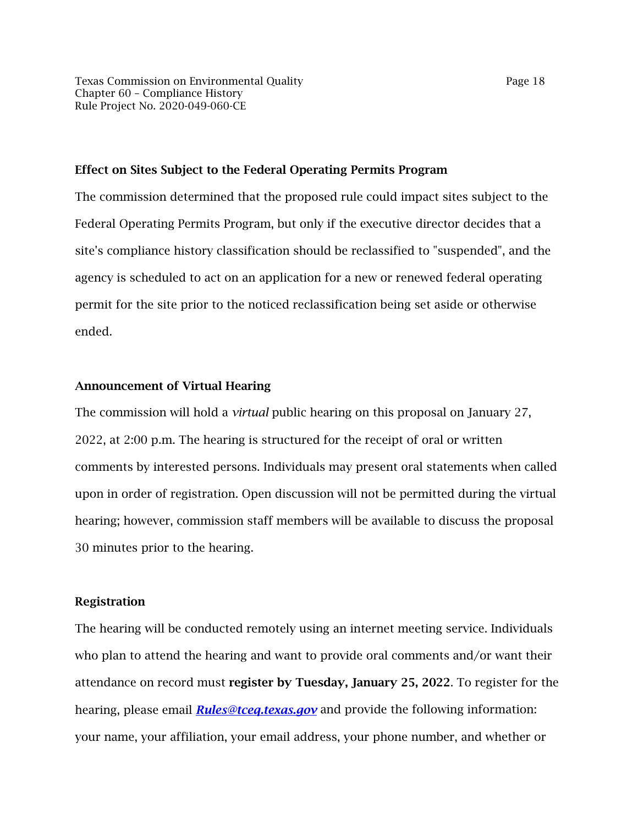#### Effect on Sites Subject to the Federal Operating Permits Program

The commission determined that the proposed rule could impact sites subject to the Federal Operating Permits Program, but only if the executive director decides that a site's compliance history classification should be reclassified to "suspended", and the agency is scheduled to act on an application for a new or renewed federal operating permit for the site prior to the noticed reclassification being set aside or otherwise ended.

#### Announcement of Virtual Hearing

The commission will hold a *virtual* public hearing on this proposal on January 27, 2022, at 2:00 p.m. The hearing is structured for the receipt of oral or written comments by interested persons. Individuals may present oral statements when called upon in order of registration. Open discussion will not be permitted during the virtual hearing; however, commission staff members will be available to discuss the proposal 30 minutes prior to the hearing.

#### Registration

The hearing will be conducted remotely using an internet meeting service. Individuals who plan to attend the hearing and want to provide oral comments and/or want their attendance on record must register by Tuesday, January 25, 2022. To register for the hearing, please email *[Rules@tceq.texas.gov](mailto:Rules@tceq.texas.gov)* and provide the following information: your name, your affiliation, your email address, your phone number, and whether or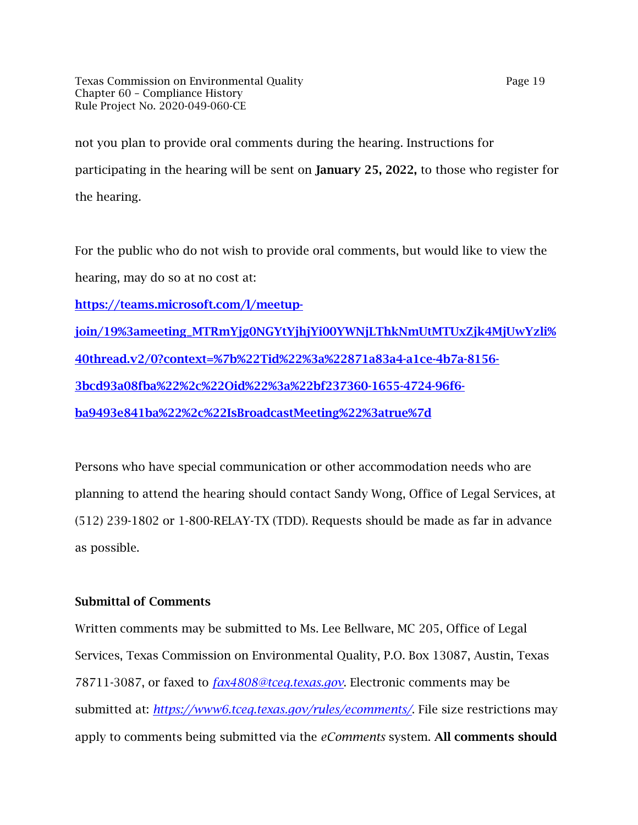Texas Commission on Environmental Quality Page 19 Chapter 60 – Compliance History Rule Project No. 2020-049-060-CE

not you plan to provide oral comments during the hearing. Instructions for participating in the hearing will be sent on January 25, 2022, to those who register for the hearing.

For the public who do not wish to provide oral comments, but would like to view the hearing, may do so at no cost at:

[https://teams.microsoft.com/l/meetup-](https://teams.microsoft.com/l/meetup-join/19%3ameeting_MTRmYjg0NGYtYjhjYi00YWNjLThkNmUtMTUxZjk4MjUwYzli%40thread.v2/0?context=%7b%22Tid%22%3a%22871a83a4-a1ce-4b7a-8156-3bcd93a08fba%22%2c%22Oid%22%3a%22bf237360-1655-4724-96f6-ba9493e841ba%22%2c%22IsBroadcastMeeting%22%3atrue%7d)

[join/19%3ameeting\\_MTRmYjg0NGYtYjhjYi00YWNjLThkNmUtMTUxZjk4MjUwYzli%](https://teams.microsoft.com/l/meetup-join/19%3ameeting_MTRmYjg0NGYtYjhjYi00YWNjLThkNmUtMTUxZjk4MjUwYzli%40thread.v2/0?context=%7b%22Tid%22%3a%22871a83a4-a1ce-4b7a-8156-3bcd93a08fba%22%2c%22Oid%22%3a%22bf237360-1655-4724-96f6-ba9493e841ba%22%2c%22IsBroadcastMeeting%22%3atrue%7d)  [40thread.v2/0?context=%7b%22Tid%22%3a%22871a83a4-a1ce-4b7a-8156-](https://teams.microsoft.com/l/meetup-join/19%3ameeting_MTRmYjg0NGYtYjhjYi00YWNjLThkNmUtMTUxZjk4MjUwYzli%40thread.v2/0?context=%7b%22Tid%22%3a%22871a83a4-a1ce-4b7a-8156-3bcd93a08fba%22%2c%22Oid%22%3a%22bf237360-1655-4724-96f6-ba9493e841ba%22%2c%22IsBroadcastMeeting%22%3atrue%7d) [3bcd93a08fba%22%2c%22Oid%22%3a%22bf237360-1655-4724-96f6](https://teams.microsoft.com/l/meetup-join/19%3ameeting_MTRmYjg0NGYtYjhjYi00YWNjLThkNmUtMTUxZjk4MjUwYzli%40thread.v2/0?context=%7b%22Tid%22%3a%22871a83a4-a1ce-4b7a-8156-3bcd93a08fba%22%2c%22Oid%22%3a%22bf237360-1655-4724-96f6-ba9493e841ba%22%2c%22IsBroadcastMeeting%22%3atrue%7d) [ba9493e841ba%22%2c%22IsBroadcastMeeting%22%3atrue%7d](https://teams.microsoft.com/l/meetup-join/19%3ameeting_MTRmYjg0NGYtYjhjYi00YWNjLThkNmUtMTUxZjk4MjUwYzli%40thread.v2/0?context=%7b%22Tid%22%3a%22871a83a4-a1ce-4b7a-8156-3bcd93a08fba%22%2c%22Oid%22%3a%22bf237360-1655-4724-96f6-ba9493e841ba%22%2c%22IsBroadcastMeeting%22%3atrue%7d) 

Persons who have special communication or other accommodation needs who are planning to attend the hearing should contact Sandy Wong, Office of Legal Services, at (512) 239-1802 or 1-800-RELAY-TX (TDD). Requests should be made as far in advance as possible.

## Submittal of Comments

Written comments may be submitted to Ms. Lee Bellware, MC 205, Office of Legal Services, Texas Commission on Environmental Quality, P.O. Box 13087, Austin, Texas 78711-3087, or faxed to *[fax4808@tceq.texas.gov](mailto:fax4808@tceq.texas.gov)*. Electronic comments may be submitted at: *<https://www6.tceq.texas.gov/rules/ecomments/>*. File size restrictions may apply to comments being submitted via the *eComments* system. All comments should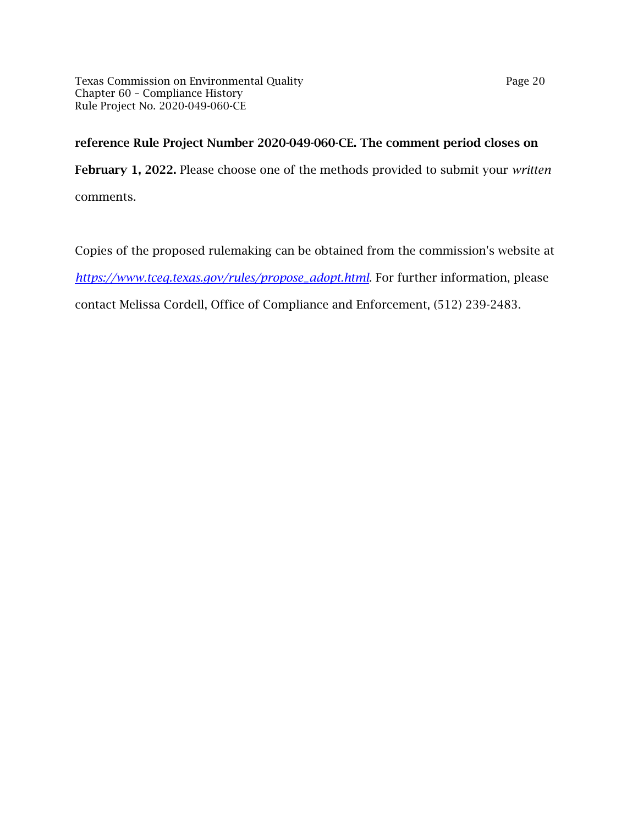## reference Rule Project Number 2020-049-060-CE. The comment period closes on

February 1, 2022. Please choose one of the methods provided to submit your *written*  comments.

Copies of the proposed rulemaking can be obtained from the commission's website at *[https://www.tceq.texas.gov/rules/propose\\_adopt.html](https://www.tceq.texas.gov/rules/propose_adopt.html)*. For further information, please contact Melissa Cordell, Office of Compliance and Enforcement, (512) 239-2483.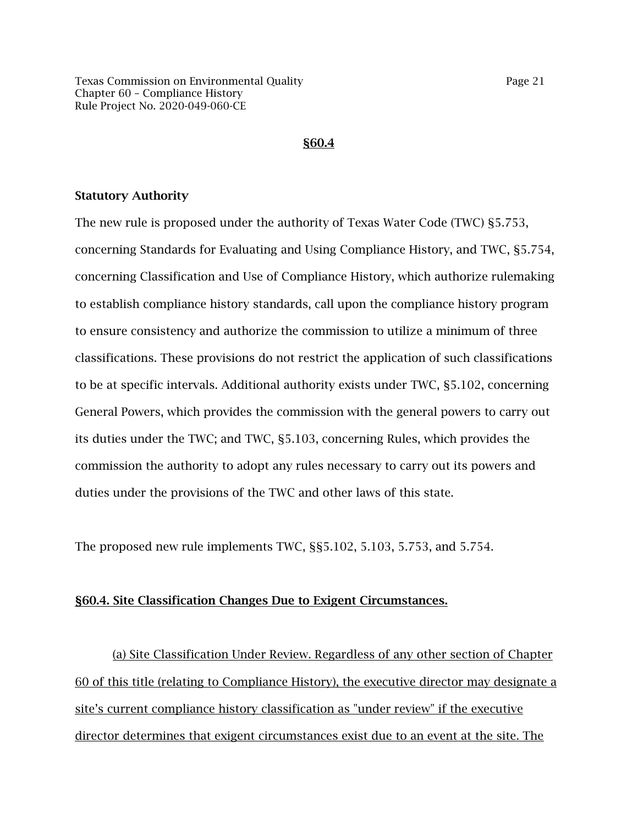#### §60.4

#### Statutory Authority

The new rule is proposed under the authority of Texas Water Code (TWC) §5.753, concerning Standards for Evaluating and Using Compliance History, and TWC, §5.754, concerning Classification and Use of Compliance History, which authorize rulemaking to establish compliance history standards, call upon the compliance history program to ensure consistency and authorize the commission to utilize a minimum of three classifications. These provisions do not restrict the application of such classifications to be at specific intervals. Additional authority exists under TWC, §5.102, concerning General Powers, which provides the commission with the general powers to carry out its duties under the TWC; and TWC, §5.103, concerning Rules, which provides the commission the authority to adopt any rules necessary to carry out its powers and duties under the provisions of the TWC and other laws of this state.

The proposed new rule implements TWC, §§5.102, 5.103, 5.753, and 5.754.

#### §60.4. Site Classification Changes Due to Exigent Circumstances.

(a) Site Classification Under Review. Regardless of any other section of Chapter 60 of this title (relating to Compliance History), the executive director may designate a site's current compliance history classification as "under review" if the executive director determines that exigent circumstances exist due to an event at the site. The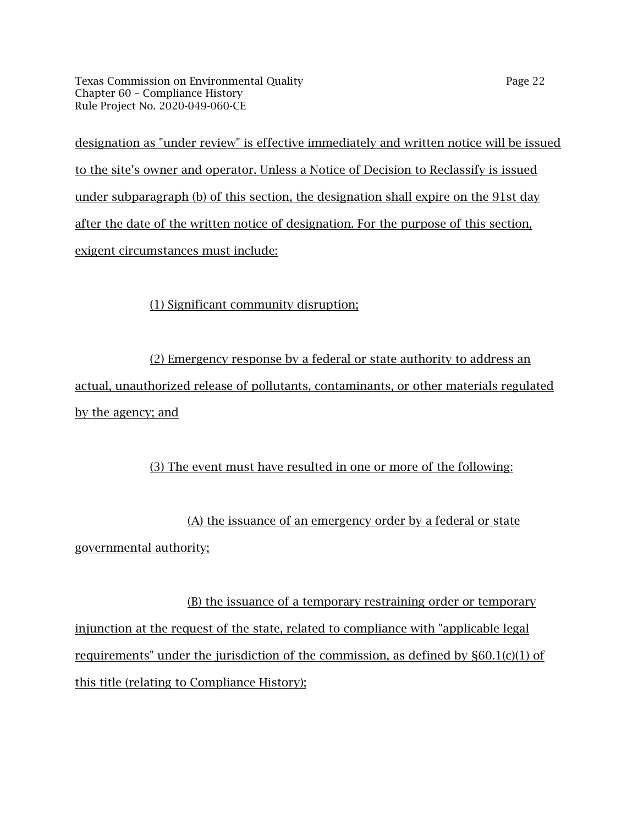Texas Commission on Environmental Quality Page 22 Chapter 60 – Compliance History Rule Project No. 2020-049-060-CE

designation as "under review" is effective immediately and written notice will be issued to the site's owner and operator. Unless a Notice of Decision to Reclassify is issued under subparagraph (b) of this section, the designation shall expire on the 91st day after the date of the written notice of designation. For the purpose of this section, exigent circumstances must include:

(1) Significant community disruption;

(2) Emergency response by a federal or state authority to address an actual, unauthorized release of pollutants, contaminants, or other materials regulated by the agency; and

## (3) The event must have resulted in one or more of the following:

(A) the issuance of an emergency order by a federal or state governmental authority;

(B) the issuance of a temporary restraining order or temporary injunction at the request of the state, related to compliance with "applicable legal requirements" under the jurisdiction of the commission, as defined by  $\S60.1(c)(1)$  of this title (relating to Compliance History);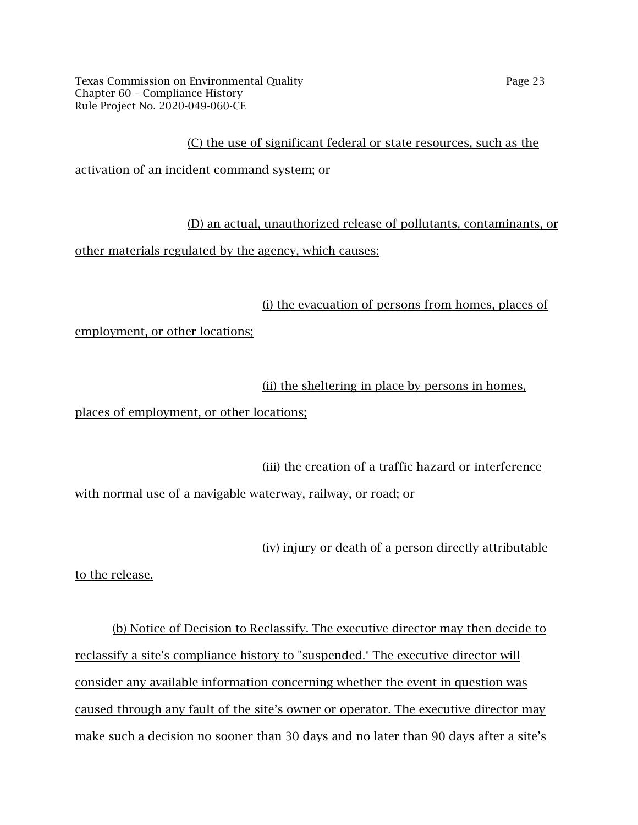Texas Commission on Environmental Quality Page 23 Chapter 60 – Compliance History Rule Project No. 2020-049-060-CE

### (C) the use of significant federal or state resources, such as the

activation of an incident command system; or

(D) an actual, unauthorized release of pollutants, contaminants, or

other materials regulated by the agency, which causes:

(i) the evacuation of persons from homes, places of

employment, or other locations;

(ii) the sheltering in place by persons in homes,

places of employment, or other locations;

(iii) the creation of a traffic hazard or interference with normal use of a navigable waterway, railway, or road; or

(iv) injury or death of a person directly attributable

to the release.

(b) Notice of Decision to Reclassify. The executive director may then decide to reclassify a site's compliance history to "suspended." The executive director will consider any available information concerning whether the event in question was caused through any fault of the site's owner or operator. The executive director may make such a decision no sooner than 30 days and no later than 90 days after a site's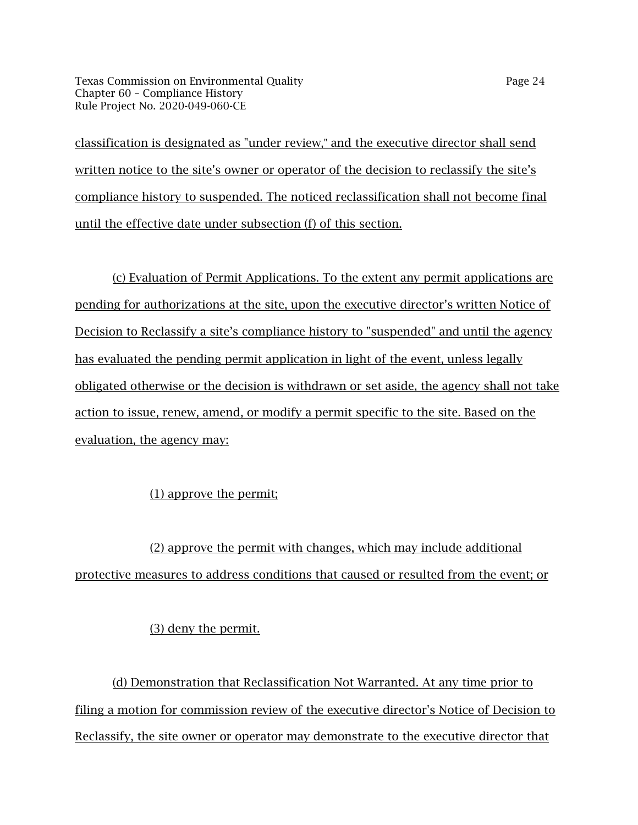Texas Commission on Environmental Quality Page 24 Chapter 60 – Compliance History Rule Project No. 2020-049-060-CE

classification is designated as "under review," and the executive director shall send written notice to the site's owner or operator of the decision to reclassify the site's compliance history to suspended. The noticed reclassification shall not become final until the effective date under subsection (f) of this section.

(c) Evaluation of Permit Applications. To the extent any permit applications are pending for authorizations at the site, upon the executive director's written Notice of Decision to Reclassify a site's compliance history to "suspended" and until the agency has evaluated the pending permit application in light of the event, unless legally obligated otherwise or the decision is withdrawn or set aside, the agency shall not take action to issue, renew, amend, or modify a permit specific to the site. Based on the evaluation, the agency may:

## (1) approve the permit;

(2) approve the permit with changes, which may include additional protective measures to address conditions that caused or resulted from the event; or

### (3) deny the permit.

(d) Demonstration that Reclassification Not Warranted. At any time prior to filing a motion for commission review of the executive director's Notice of Decision to Reclassify, the site owner or operator may demonstrate to the executive director that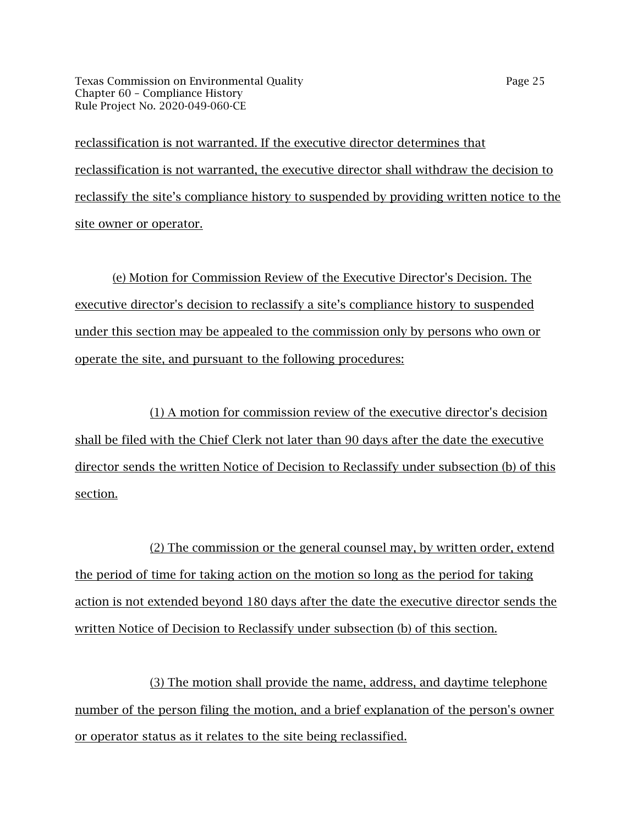Texas Commission on Environmental Quality Page 25 Chapter 60 – Compliance History Rule Project No. 2020-049-060-CE

reclassification is not warranted. If the executive director determines that reclassification is not warranted, the executive director shall withdraw the decision to reclassify the site's compliance history to suspended by providing written notice to the site owner or operator.

(e) Motion for Commission Review of the Executive Director's Decision. The executive director's decision to reclassify a site's compliance history to suspended under this section may be appealed to the commission only by persons who own or operate the site, and pursuant to the following procedures:

(1) A motion for commission review of the executive director's decision shall be filed with the Chief Clerk not later than 90 days after the date the executive director sends the written Notice of Decision to Reclassify under subsection (b) of this section.

(2) The commission or the general counsel may, by written order, extend the period of time for taking action on the motion so long as the period for taking action is not extended beyond 180 days after the date the executive director sends the written Notice of Decision to Reclassify under subsection (b) of this section.

(3) The motion shall provide the name, address, and daytime telephone number of the person filing the motion, and a brief explanation of the person's owner or operator status as it relates to the site being reclassified.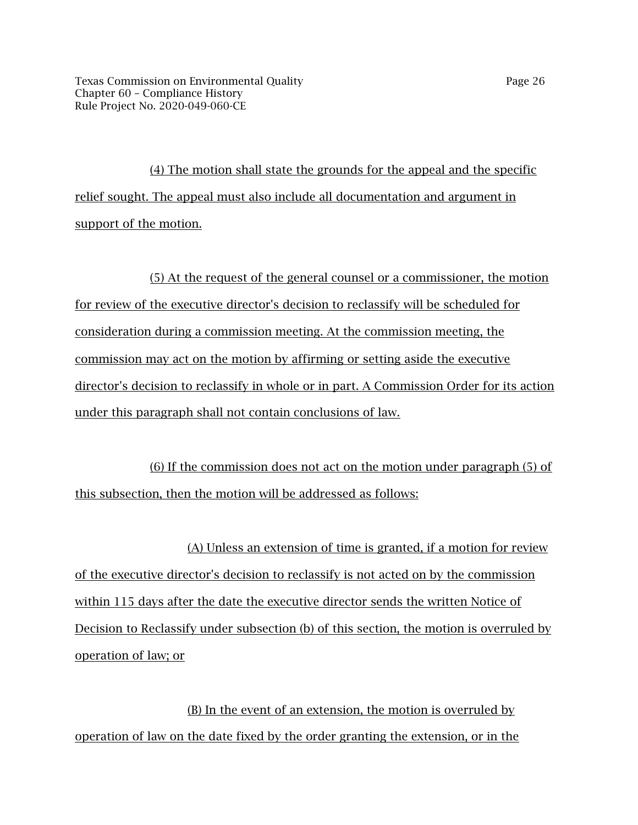(4) The motion shall state the grounds for the appeal and the specific relief sought. The appeal must also include all documentation and argument in support of the motion.

(5) At the request of the general counsel or a commissioner, the motion for review of the executive director's decision to reclassify will be scheduled for consideration during a commission meeting. At the commission meeting, the commission may act on the motion by affirming or setting aside the executive director's decision to reclassify in whole or in part. A Commission Order for its action under this paragraph shall not contain conclusions of law.

(6) If the commission does not act on the motion under paragraph (5) of this subsection, then the motion will be addressed as follows:

(A) Unless an extension of time is granted, if a motion for review of the executive director's decision to reclassify is not acted on by the commission within 115 days after the date the executive director sends the written Notice of Decision to Reclassify under subsection (b) of this section, the motion is overruled by operation of law; or

(B) In the event of an extension, the motion is overruled by operation of law on the date fixed by the order granting the extension, or in the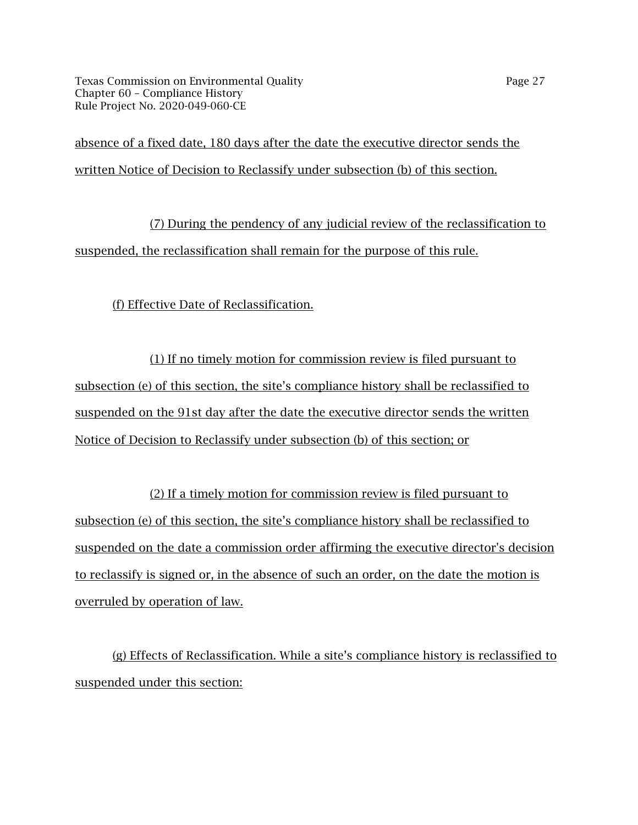Texas Commission on Environmental Quality Page 27 Chapter 60 – Compliance History Rule Project No. 2020-049-060-CE

absence of a fixed date, 180 days after the date the executive director sends the written Notice of Decision to Reclassify under subsection (b) of this section.

(7) During the pendency of any judicial review of the reclassification to suspended, the reclassification shall remain for the purpose of this rule.

(f) Effective Date of Reclassification.

(1) If no timely motion for commission review is filed pursuant to subsection (e) of this section, the site's compliance history shall be reclassified to suspended on the 91st day after the date the executive director sends the written Notice of Decision to Reclassify under subsection (b) of this section; or

(2) If a timely motion for commission review is filed pursuant to subsection (e) of this section, the site's compliance history shall be reclassified to suspended on the date a commission order affirming the executive director's decision to reclassify is signed or, in the absence of such an order, on the date the motion is overruled by operation of law.

(g) Effects of Reclassification. While a site's compliance history is reclassified to suspended under this section: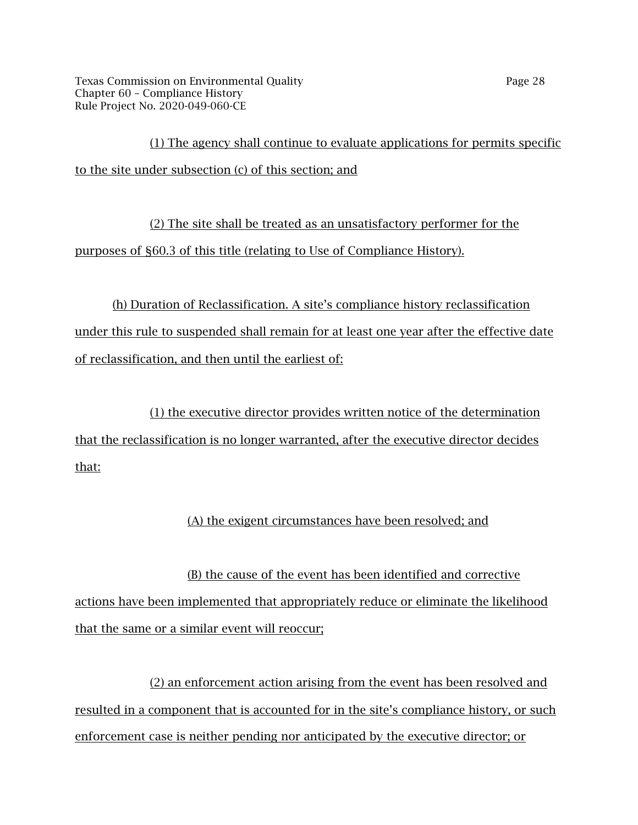Texas Commission on Environmental Quality Page 28 Chapter 60 – Compliance History Rule Project No. 2020-049-060-CE

(1) The agency shall continue to evaluate applications for permits specific to the site under subsection (c) of this section; and

(2) The site shall be treated as an unsatisfactory performer for the purposes of §60.3 of this title (relating to Use of Compliance History).

(h) Duration of Reclassification. A site's compliance history reclassification under this rule to suspended shall remain for at least one year after the effective date of reclassification, and then until the earliest of:

(1) the executive director provides written notice of the determination that the reclassification is no longer warranted, after the executive director decides that:

## (A) the exigent circumstances have been resolved; and

(B) the cause of the event has been identified and corrective actions have been implemented that appropriately reduce or eliminate the likelihood that the same or a similar event will reoccur;

(2) an enforcement action arising from the event has been resolved and resulted in a component that is accounted for in the site's compliance history, or such enforcement case is neither pending nor anticipated by the executive director; or